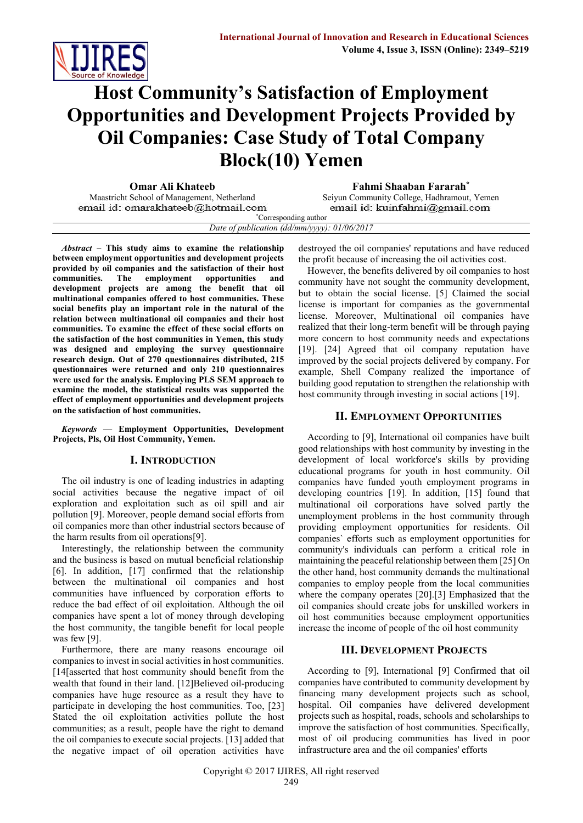

# **Host Community's Satisfaction of Employment Opportunities and Development Projects Provided by Oil Companies: Case Study of Total Company Block(10) Yemen**

**Omar Ali Khateeb Fahmi Shaaban Fararah\*** email id: omarakhateeb@hotmail.com

Seiyun Community College, Hadhramout, Yemen email id: kuinfahmi@gmail.com

\*Corresponding author *Date of publication (dd/mm/yyyy): 01/06/2017*

*Abstract* **– This study aims to examine the relationship between employment opportunities and development projects provided by oil companies and the satisfaction of their host communities. The employment opportunities and development projects are among the benefit that oil multinational companies offered to host communities. These social benefits play an important role in the natural of the relation between multinational oil companies and their host communities. To examine the effect of these social efforts on the satisfaction of the host communities in Yemen, this study was designed and employing the survey questionnaire research design. Out of 270 questionnaires distributed, 215 questionnaires were returned and only 210 questionnaires were used for the analysis. Employing PLS SEM approach to examine the model, the statistical results was supported the effect of employment opportunities and development projects on the satisfaction of host communities.** 

*Keywords* **— Employment Opportunities, Development Projects, Pls, Oil Host Community, Yemen.**

## **I. INTRODUCTION**

The oil industry is one of leading industries in adapting social activities because the negative impact of oil exploration and exploitation such as oil spill and air pollution [9]. Moreover, people demand social efforts from oil companies more than other industrial sectors because of the harm results from oil operations[9].

Interestingly, the relationship between the community and the business is based on mutual beneficial relationship [6]. In addition, [17] confirmed that the relationship between the multinational oil companies and host communities have influenced by corporation efforts to reduce the bad effect of oil exploitation. Although the oil companies have spent a lot of money through developing the host community, the tangible benefit for local people was few [9].

Furthermore, there are many reasons encourage oil companies to invest in social activities in host communities. [14[asserted that host community should benefit from the wealth that found in their land. [12]Believed oil-producing companies have huge resource as a result they have to participate in developing the host communities. Too, [23] Stated the oil exploitation activities pollute the host communities; as a result, people have the right to demand the oil companies to execute social projects. [13] added that the negative impact of oil operation activities have destroyed the oil companies' reputations and have reduced the profit because of increasing the oil activities cost.

However, the benefits delivered by oil companies to host community have not sought the community development, but to obtain the social license. [5] Claimed the social license is important for companies as the governmental license. Moreover, Multinational oil companies have realized that their long-term benefit will be through paying more concern to host community needs and expectations [19]. [24] Agreed that oil company reputation have improved by the social projects delivered by company. For example, Shell Company realized the importance of building good reputation to strengthen the relationship with host community through investing in social actions [19].

## **II. EMPLOYMENT OPPORTUNITIES**

According to [9], International oil companies have built good relationships with host community by investing in the development of local workforce's skills by providing educational programs for youth in host community. Oil companies have funded youth employment programs in developing countries [19]. In addition, [15] found that multinational oil corporations have solved partly the unemployment problems in the host community through providing employment opportunities for residents. Oil companies` efforts such as employment opportunities for community's individuals can perform a critical role in maintaining the peaceful relationship between them [25] On the other hand, host community demands the multinational companies to employ people from the local communities where the company operates [20].[3] Emphasized that the oil companies should create jobs for unskilled workers in oil host communities because employment opportunities increase the income of people of the oil host community

## **III. DEVELOPMENT PROJECTS**

According to [9], International [9] Confirmed that oil companies have contributed to community development by financing many development projects such as school, hospital. Oil companies have delivered development projects such as hospital, roads, schools and scholarships to improve the satisfaction of host communities. Specifically, most of oil producing communities has lived in poor infrastructure area and the oil companies' efforts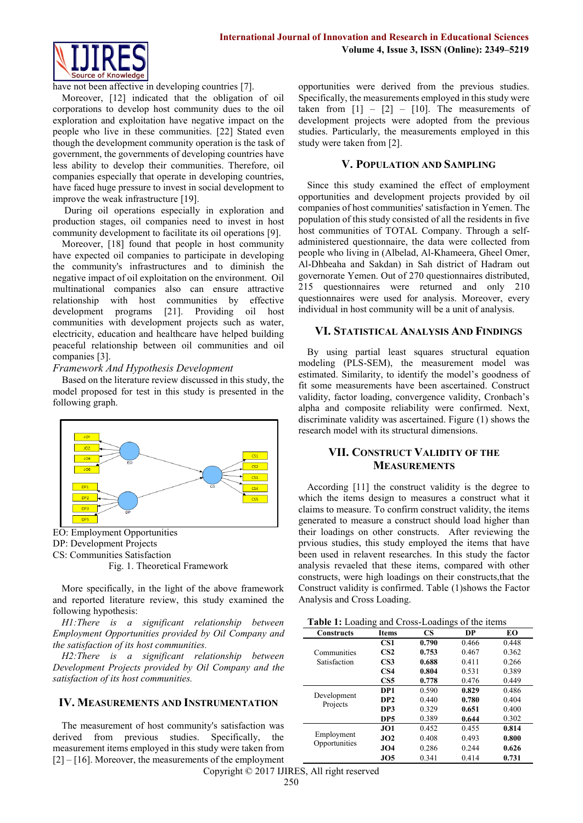

have not been affective in developing countries [7].

Moreover, [12] indicated that the obligation of oil corporations to develop host community dues to the oil exploration and exploitation have negative impact on the people who live in these communities. [22] Stated even though the development community operation is the task of government, the governments of developing countries have less ability to develop their communities. Therefore, oil companies especially that operate in developing countries, have faced huge pressure to invest in social development to improve the weak infrastructure [19].

During oil operations especially in exploration and production stages, oil companies need to invest in host community development to facilitate its oil operations [9].

Moreover, [18] found that people in host community have expected oil companies to participate in developing the community's infrastructures and to diminish the negative impact of oil exploitation on the environment. Oil multinational companies also can ensure attractive relationship with host communities by effective development programs [21]. Providing oil host communities with development projects such as water, electricity, education and healthcare have helped building peaceful relationship between oil communities and oil companies [3].

## *Framework And Hypothesis Development*

Based on the literature review discussed in this study, the model proposed for test in this study is presented in the following graph.



EO: Employment Opportunities DP: Development Projects

CS: Communities Satisfaction

Fig. 1. Theoretical Framework

More specifically, in the light of the above framework and reported literature review, this study examined the following hypothesis:

*H1:There is a significant relationship between Employment Opportunities provided by Oil Company and the satisfaction of its host communities.*

*H2:There is a significant relationship between Development Projects provided by Oil Company and the satisfaction of its host communities.*

## **IV. MEASUREMENTS AND INSTRUMENTATION**

The measurement of host community's satisfaction was derived from previous studies. Specifically, the measurement items employed in this study were taken from [2] – [16]. Moreover, the measurements of the employment opportunities were derived from the previous studies. Specifically, the measurements employed in this study were taken from  $\begin{bmatrix} 1 \end{bmatrix} - \begin{bmatrix} 2 \end{bmatrix} - \begin{bmatrix} 10 \end{bmatrix}$ . The measurements of development projects were adopted from the previous studies. Particularly, the measurements employed in this study were taken from [2].

## **V. POPULATION AND SAMPLING**

Since this study examined the effect of employment opportunities and development projects provided by oil companies of host communities' satisfaction in Yemen. The population of this study consisted of all the residents in five host communities of TOTAL Company. Through a selfadministered questionnaire, the data were collected from people who living in (Albelad, Al-Khameera, Gheel Omer, Al-Dhbeaha and Sakdan) in Sah district of Hadram out governorate Yemen. Out of 270 questionnaires distributed, 215 questionnaires were returned and only 210 questionnaires were used for analysis. Moreover, every individual in host community will be a unit of analysis.

## **VI. STATISTICAL ANALYSIS AND FINDINGS**

By using partial least squares structural equation modeling (PLS-SEM), the measurement model was estimated. Similarity, to identify the model's goodness of fit some measurements have been ascertained. Construct validity, factor loading, convergence validity, Cronbach's alpha and composite reliability were confirmed. Next, discriminate validity was ascertained. Figure (1) shows the research model with its structural dimensions.

## **VII. CONSTRUCT VALIDITY OF THE MEASUREMENTS**

According [11] the construct validity is the degree to which the items design to measures a construct what it claims to measure. To confirm construct validity, the items generated to measure a construct should load higher than their loadings on other constructs. After reviewing the prvious studies, this study employed the items that have been used in relavent researches. In this study the factor analysis revaeled that these items, compared with other constructs, were high loadings on their constructs,that the Construct validity is confirmed. Table (1)shows the Factor Analysis and Cross Loading.

| <b>Constructs</b>           | <b>Items</b>    | <b>CS</b> | DP    | EО    |
|-----------------------------|-----------------|-----------|-------|-------|
|                             | CS1             | 0.790     | 0.466 | 0.448 |
| Communities<br>Satisfaction | CS <sub>2</sub> | 0.753     | 0.467 | 0.362 |
|                             | CS <sub>3</sub> | 0.688     | 0.411 | 0.266 |
|                             | CS <sub>4</sub> | 0.804     | 0.531 | 0.389 |
|                             | CS <sub>5</sub> | 0.778     | 0.476 | 0.449 |
| Development<br>Projects     | DP1             | 0.590     | 0.829 | 0.486 |
|                             | DP <sub>2</sub> | 0.440     | 0.780 | 0.404 |
|                             | DP3             | 0.329     | 0.651 | 0.400 |
|                             | DP5             | 0.389     | 0.644 | 0.302 |
| Employment<br>Opportunities | JO1             | 0.452     | 0.455 | 0.814 |
|                             | JO2             | 0.408     | 0.493 | 0.800 |
|                             | JO4             | 0.286     | 0.244 | 0.626 |
|                             | JO5             | 0.341     | 0.414 | 0.731 |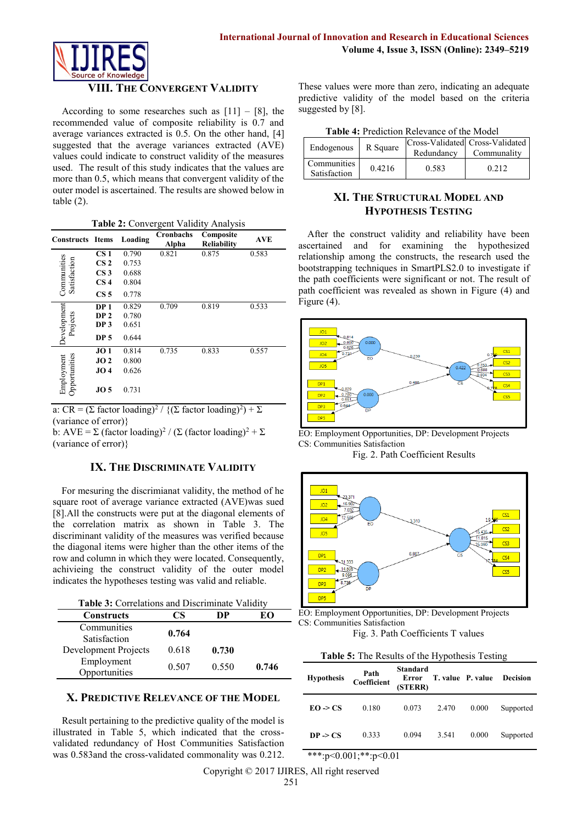

## **VIII. THE CONVERGENT VALIDITY**

According to some researches such as  $[11] - [8]$ , the recommended value of composite reliability is 0.7 and average variances extracted is 0.5. On the other hand, [4] suggested that the average variances extracted (AVE) values could indicate to construct validity of the measures used. The result of this study indicates that the values are more than 0.5, which means that convergent validity of the outer model is ascertained. The results are showed below in table  $(2)$ .

| Table 2: Convergent Validity Analysis |  |
|---------------------------------------|--|
|---------------------------------------|--|

| <b>Constructs Items</b>     |                 | Loading | <b>Cronbachs</b><br>Alpha | Composite<br><b>Reliability</b> | <b>AVE</b> |
|-----------------------------|-----------------|---------|---------------------------|---------------------------------|------------|
| Communities<br>Satisfaction | CS <sub>1</sub> | 0.790   | 0.821                     | 0.875                           | 0.583      |
|                             | CS <sub>2</sub> | 0.753   |                           |                                 |            |
|                             | CS <sub>3</sub> | 0.688   |                           |                                 |            |
|                             | CS <sub>4</sub> | 0.804   |                           |                                 |            |
|                             | CS <sub>5</sub> | 0.778   |                           |                                 |            |
| Development<br>Projects     | DP <sub>1</sub> | 0.829   | 0.709                     | 0.819                           | 0.533      |
|                             | DP <sub>2</sub> | 0.780   |                           |                                 |            |
|                             | DP <sub>3</sub> | 0.651   |                           |                                 |            |
|                             | <b>DP 5</b>     | 0.644   |                           |                                 |            |
| Opportunities<br>Employment | JO1             | 0.814   | 0.735                     | 0.833                           | 0.557      |
|                             | JO2             | 0.800   |                           |                                 |            |
|                             | JO4             | 0.626   |                           |                                 |            |
|                             | JO <sub>5</sub> | 0.731   |                           |                                 |            |

a: CR =  $(\Sigma \text{ factor loading})^2 / {(\Sigma \text{ factor loading})^2) + \Sigma}$ (variance of error)}

b: AVE =  $\Sigma$  (factor loading)<sup>2</sup> / ( $\Sigma$  (factor loading)<sup>2</sup> +  $\Sigma$ (variance of error)}

## **IX. THE DISCRIMINATE VALIDITY**

For mesuring the discrimianat validity, the method of he square root of average variance extracted (AVE)was sued [8].All the constructs were put at the diagonal elements of the correlation matrix as shown in Table 3. The discriminant validity of the measures was verified because the diagonal items were higher than the other items of the row and column in which they were located. Consequently, achivieing the construct validity of the outer model indicates the hypotheses testing was valid and reliable.

**Table 3:** Correlations and Discriminate Validity

| <b>Constructs</b>    | CS    | DР    | EΩ    |
|----------------------|-------|-------|-------|
| Communities          | 0.764 |       |       |
| Satisfaction         |       |       |       |
| Development Projects | 0.618 | 0.730 |       |
| Employment           | 0.507 | 0.550 |       |
| Opportunities        |       |       | 0.746 |

#### **X. PREDICTIVE RELEVANCE OF THE MODEL**

Result pertaining to the predictive quality of the model is illustrated in Table 5, which indicated that the crossvalidated redundancy of Host Communities Satisfaction was 0.583and the cross-validated commonality was 0.212.

These values were more than zero, indicating an adequate predictive validity of the model based on the criteria suggested by [8].

| Endogenous                  | R Square | Redundancy | Cross-Validated Cross-Validated<br>Communality |
|-----------------------------|----------|------------|------------------------------------------------|
| Communities<br>Satisfaction | 0.4216   | 0.583      | 0.212                                          |

## **XI. THE STRUCTURAL MODEL AND HYPOTHESIS TESTING**

After the construct validity and reliability have been ascertained and for examining the hypothesized relationship among the constructs, the research used the bootstrapping techniques in SmartPLS2.0 to investigate if the path coefficients were significant or not. The result of path coefficient was revealed as shown in Figure (4) and Figure (4).



EO: Employment Opportunities, DP: Development Projects CS: Communities Satisfaction

Fig. 2. Path Coefficient Results



EO: Employment Opportunities, DP: Development Projects CS: Communities Satisfaction

Fig. 3. Path Coefficients T values

**Table 5:** The Results of the Hypothesis Testing

| <b>Hypothesis</b>   | Path<br>Coefficient | Standard<br>Error<br>(STERR) | T. value P. value |       | <b>Decision</b> |
|---------------------|---------------------|------------------------------|-------------------|-------|-----------------|
| $EO \rightarrow CS$ | 0.180               | 0.073                        | 2.470             | 0.000 | Supported       |
| $DP \geq CS$        | 0.333               | 0.094                        | 3.541             | 0.000 | Supported       |

\*\*\*:p<0.001;\*\*:p<0.01

Copyright © 2017 IJIRES, All right reserved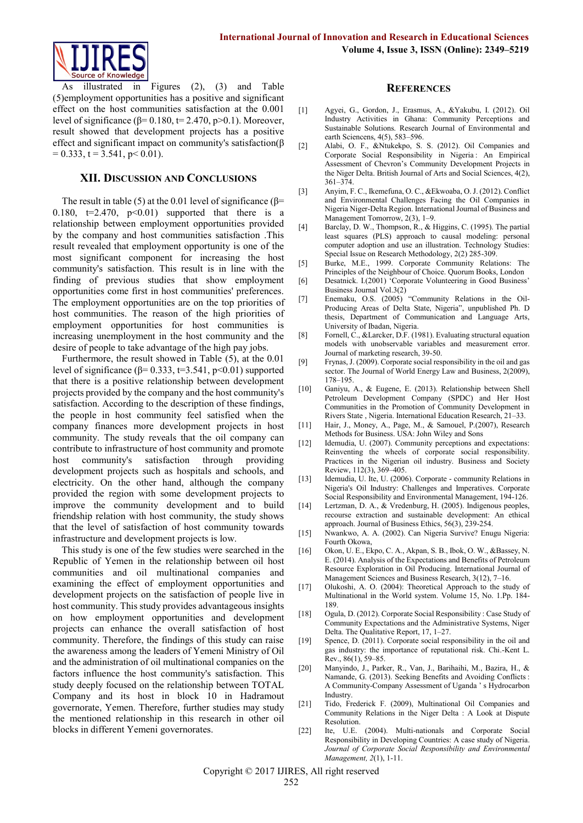

illustrated in Figures  $(2)$ ,  $(3)$  and Table (5)employment opportunities has a positive and significant effect on the host communities satisfaction at the 0.001 level of significance (β= 0.180, t= 2.470, p>0.1). Moreover, result showed that development projects has a positive effect and significant impact on community's satisfaction(β  $= 0.333$ ,  $t = 3.541$ ,  $p < 0.01$ ).

### **XII. DISCUSSION AND CONCLUSIONS**

The result in table (5) at the 0.01 level of significance ( $\beta$ = 0.180,  $t=2.470$ ,  $p<0.01$ ) supported that there is a relationship between employment opportunities provided by the company and host communities satisfaction .This result revealed that employment opportunity is one of the most significant component for increasing the host community's satisfaction. This result is in line with the finding of previous studies that show employment opportunities come first in host communities' preferences. The employment opportunities are on the top priorities of host communities. The reason of the high priorities of employment opportunities for host communities is increasing unemployment in the host community and the desire of people to take advantage of the high pay jobs.

Furthermore, the result showed in Table (5), at the 0.01 level of significance ( $\beta$ = 0.333, t=3.541, p<0.01) supported that there is a positive relationship between development projects provided by the company and the host community's satisfaction. According to the description of these findings, the people in host community feel satisfied when the company finances more development projects in host community. The study reveals that the oil company can contribute to infrastructure of host community and promote host community's satisfaction through providing development projects such as hospitals and schools, and electricity. On the other hand, although the company provided the region with some development projects to improve the community development and to build friendship relation with host community, the study shows that the level of satisfaction of host community towards infrastructure and development projects is low.

This study is one of the few studies were searched in the Republic of Yemen in the relationship between oil host communities and oil multinational companies and examining the effect of employment opportunities and development projects on the satisfaction of people live in host community. This study provides advantageous insights on how employment opportunities and development projects can enhance the overall satisfaction of host community. Therefore, the findings of this study can raise the awareness among the leaders of Yemeni Ministry of Oil and the administration of oil multinational companies on the factors influence the host community's satisfaction. This study deeply focused on the relationship between TOTAL Company and its host in block 10 in Hadramout governorate, Yemen. Therefore, further studies may study the mentioned relationship in this research in other oil blocks in different Yemeni governorates.

#### **REFERENCES**

- [1] Agyei, G., Gordon, J., Erasmus, A., &Yakubu, I. (2012). Oil Industry Activities in Ghana: Community Perceptions and Sustainable Solutions. Research Journal of Environmental and earth Sciencens, 4(5), 583–596.
- [2] Alabi, O. F., &Ntukekpo, S. S. (2012). Oil Companies and Corporate Social Responsibility in Nigeria : An Empirical Assessment of Chevron's Community Development Projects in the Niger Delta. British Journal of Arts and Social Sciences, 4(2), 361–374.
- [3] Anyim, F. C., Ikemefuna, O. C., &Ekwoaba, O. J. (2012). Conflict and Environmental Challenges Facing the Oil Companies in Nigeria Niger-Delta Region. International Journal of Business and Management Tomorrow, 2(3), 1–9.
- [4] Barclay, D. W., Thompson, R., & Higgins, C. (1995). The partial least squares (PLS) approach to causal modeling: personal computer adoption and use an illustration. Technology Studies: Special Issue on Research Methodology, 2(2) 285-309.
- [5] Burke, M.E., 1999. Corporate Community Relations: The Principles of the Neighbour of Choice. Quorum Books, London
- [6] Desatnick. I.(2001) 'Corporate Volunteering in Good Business' Business Journal Vol.3(2)
- [7] Enemaku, O.S. (2005) "Community Relations in the Oil-Producing Areas of Delta State, Nigeria", unpublished Ph. D thesis, Department of Communication and Language Arts, University of Ibadan, Nigeria.
- [8] Fornell, C., &Larcker, D.F. (1981). Evaluating structural equation models with unobservable variables and measurement error. Journal of marketing research, 39-50.
- [9] Frynas, J. (2009). Corporate social responsibility in the oil and gas sector. The Journal of World Energy Law and Business, 2(2009), 178–195.
- [10] Ganiyu, A., & Eugene, E. (2013). Relationship between Shell Petroleum Development Company (SPDC) and Her Host Communities in the Promotion of Community Development in Rivers State , Nigeria. International Education Research, 21–33.
- [11] Hair, J., Money, A., Page, M., & Samouel, P.(2007), Research Methods for Business. USA: John Wiley and Sons
- [12] Idemudia, U. (2007). Community perceptions and expectations: Reinventing the wheels of corporate social responsibility. Practices in the Nigerian oil industry. Business and Society Review, 112(3), 369–405.
- [13] Idemudia, U. Ite, U. (2006). Corporate community Relations in Nigeria's Oil Industry: Challenges and Imperatives. Corporate Social Responsibility and Environmental Management, 194-126.
- [14] Lertzman, D. A., & Vredenburg, H. (2005). Indigenous peoples, recourse extraction and sustainable development: An ethical approach. Journal of Business Ethics, 56(3), 239-254.
- [15] Nwankwo, A. A. (2002). Can Nigeria Survive? Enugu Nigeria: Fourth Okowa,
- [16] Okon, U. E., Ekpo, C. A., Akpan, S. B., Ibok, O. W., &Bassey, N. E. (2014). Analysis of the Expectations and Benefits of Petroleum Resource Exploration in Oil Producing. International Journal of Management Sciences and Business Research, 3(12), 7–16.
- [17] Olukoshi, A. O. (2004): Theoretical Approach to the study of Multinational in the World system. Volume 15, No. 1.Pp. 184- 189.
- [18] Ogula, D. (2012). Corporate Social Responsibility : Case Study of Community Expectations and the Administrative Systems, Niger Delta. The Qualitative Report, 17, 1–27.
- [19] Spence, D. (2011). Corporate social responsibility in the oil and gas industry: the importance of reputational risk. Chi.-Kent L. Rev., 86(1), 59–85.
- [20] Manyindo, J., Parker, R., Van, J., Barihaihi, M., Bazira, H., & Namande, G. (2013). Seeking Benefits and Avoiding Conflicts : A Community-Company Assessment of Uganda ' s Hydrocarbon Industry.
- [21] Tido, Frederick F. (2009), Multinational Oil Companies and Community Relations in the Niger Delta : A Look at Dispute Resolution.
- [22] Ite, U.E. (2004). Multi-nationals and Corporate Social Responsibility in Developing Countries: A case study of Nigeria. *Journal of Corporate Social Responsibility and Environmental Management, 2*(1), 1-11.